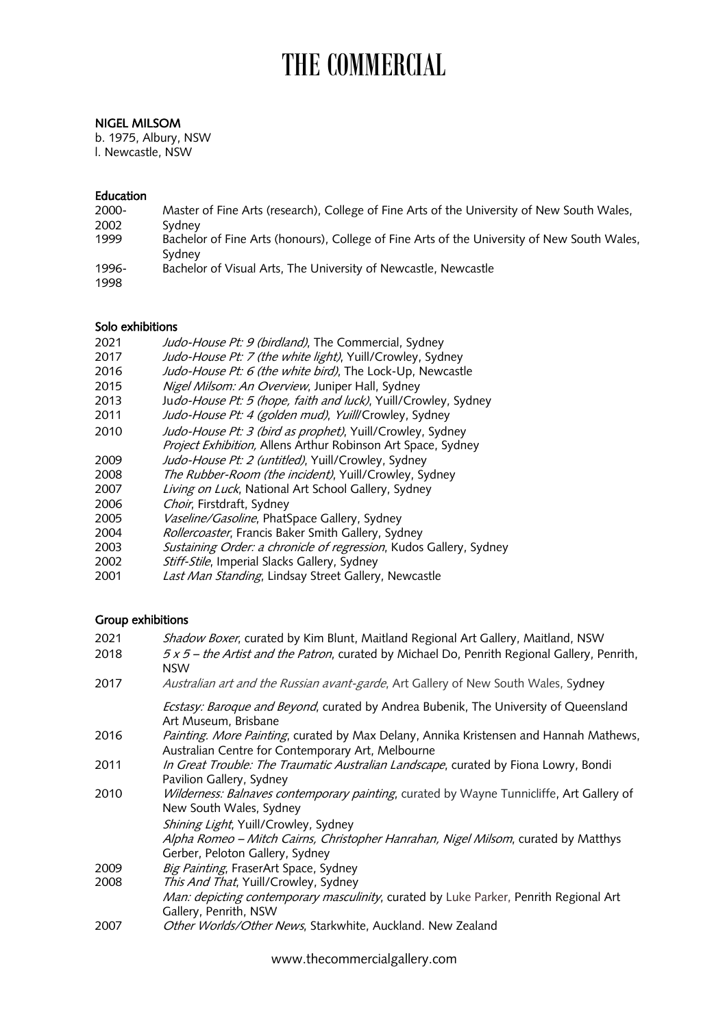# THE COMMERCIAL

### NIGEL MILSOM

b. 1975, Albury, NSW l. Newcastle, NSW

### Education

| $2000 -$      | Master of Fine Arts (research), College of Fine Arts of the University of New South Wales,            |
|---------------|-------------------------------------------------------------------------------------------------------|
| 2002          | Sydney                                                                                                |
| 1999          | Bachelor of Fine Arts (honours), College of Fine Arts of the University of New South Wales,<br>Sydney |
| 1996-<br>1998 | Bachelor of Visual Arts, The University of Newcastle, Newcastle                                       |

### Solo exhibitions

| 2021 | Judo-House Pt: 9 (birdland), The Commercial, Sydney |  |
|------|-----------------------------------------------------|--|
|------|-----------------------------------------------------|--|

- 2017 Judo-House Pt: 7 (the white light), Yuill/Crowley, Sydney<br>2016 Judo-House Pt: 6 (the white bird). The Lock-Up. Newcast
- Judo-House Pt: 6 (the white bird), The Lock-Up, Newcastle
- 2015 Nigel Milsom: An Overview, Juniper Hall, Sydney
- 2013 Judo-House Pt: 5 (hope, faith and luck), Yuill/Crowley, Sydney
- 2011 Judo-House Pt: 4 (golden mud), Yuill/Crowley, Sydney
- 2010 *Judo-House Pt: 3 (bird as prophet)*, Yuill/Crowley, Sydney Project Exhibition, Allens Arthur Robinson Art Space, Sydney
- 2009 *Judo-House Pt: 2 (untitled)*, Yuill/Crowley, Sydney
- 2008 The Rubber-Room (the incident), Yuill/Crowley, Sydney
- 2007 Living on Luck, National Art School Gallery, Sydney
- 2006 Choir, Firstdraft, Sydney
- 2005 *Vaseline/Gasoline*, PhatSpace Gallery, Sydney
- 2004 Rollercoaster, Francis Baker Smith Gallery, Sydney
- 2003 Sustaining Order: a chronicle of regression, Kudos Gallery, Sydney
- 2002 *Stiff-Stile*, Imperial Slacks Gallery, Sydney
- 2001 Last Man Standing, Lindsay Street Gallery, Newcastle

# Group exhibitions

| 2021 | Shadow Boxer, curated by Kim Blunt, Maitland Regional Art Gallery, Maitland, NSW                                                           |
|------|--------------------------------------------------------------------------------------------------------------------------------------------|
| 2018 | 5 x 5 – the Artist and the Patron, curated by Michael Do, Penrith Regional Gallery, Penrith,<br><b>NSW</b>                                 |
| 2017 | Australian art and the Russian avant-garde, Art Gallery of New South Wales, Sydney                                                         |
|      | Ecstasy: Baroque and Beyond, curated by Andrea Bubenik, The University of Queensland<br>Art Museum, Brisbane                               |
| 2016 | Painting. More Painting, curated by Max Delany, Annika Kristensen and Hannah Mathews,<br>Australian Centre for Contemporary Art, Melbourne |
| 2011 | In Great Trouble: The Traumatic Australian Landscape, curated by Fiona Lowry, Bondi<br>Pavilion Gallery, Sydney                            |
| 2010 | Wilderness: Balnaves contemporary painting, curated by Wayne Tunnicliffe, Art Gallery of<br>New South Wales, Sydney                        |
|      | Shining Light, Yuill/Crowley, Sydney                                                                                                       |
|      | Alpha Romeo – Mitch Cairns, Christopher Hanrahan, Nigel Milsom, curated by Matthys                                                         |
|      | Gerber, Peloton Gallery, Sydney                                                                                                            |
| 2009 | Big Painting, FraserArt Space, Sydney                                                                                                      |
| 2008 | This And That, Yuill/Crowley, Sydney                                                                                                       |
|      | Man: depicting contemporary masculinity, curated by Luke Parker, Penrith Regional Art<br>Gallery, Penrith, NSW                             |
| 2007 | Other Worlds/Other News, Starkwhite, Auckland. New Zealand                                                                                 |

www.thecommercialgallery.com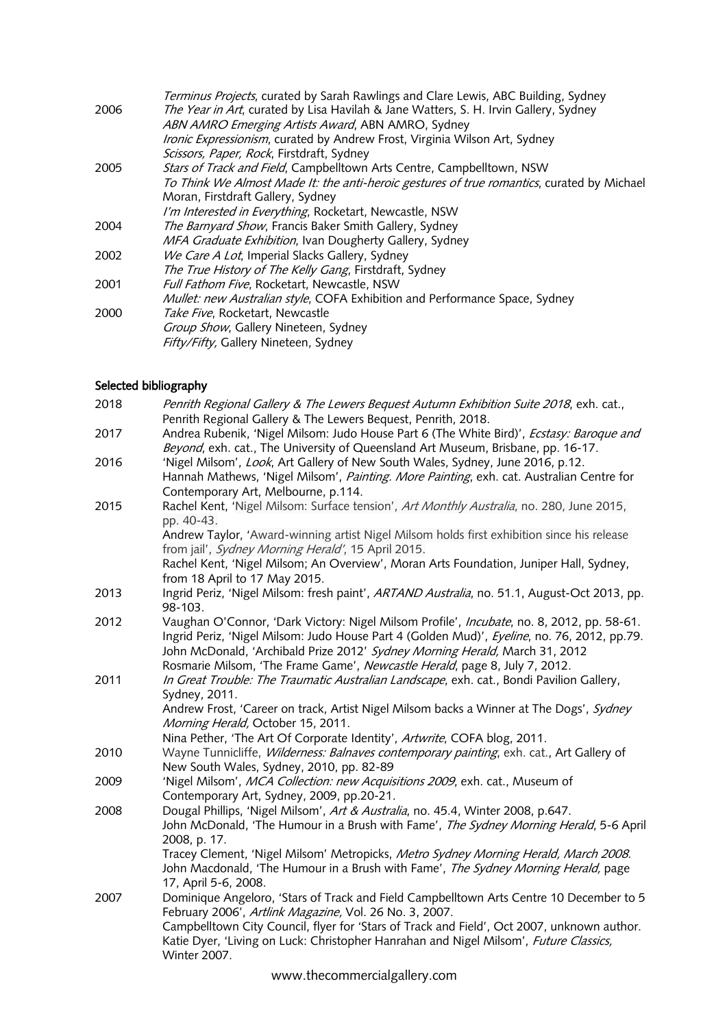|      | Terminus Projects, curated by Sarah Rawlings and Clare Lewis, ABC Building, Sydney         |
|------|--------------------------------------------------------------------------------------------|
| 2006 | The Year in Art, curated by Lisa Havilah & Jane Watters, S. H. Irvin Gallery, Sydney       |
|      | ABN AMRO Emerging Artists Award, ABN AMRO, Sydney                                          |
|      | Ironic Expressionism, curated by Andrew Frost, Virginia Wilson Art, Sydney                 |
|      | Scissors, Paper, Rock, Firstdraft, Sydney                                                  |
| 2005 | Stars of Track and Field, Campbelltown Arts Centre, Campbelltown, NSW                      |
|      | To Think We Almost Made It: the anti-heroic gestures of true romantics, curated by Michael |
|      | Moran, Firstdraft Gallery, Sydney                                                          |
|      | I'm Interested in Everything, Rocketart, Newcastle, NSW                                    |
| 2004 | The Barnyard Show, Francis Baker Smith Gallery, Sydney                                     |
|      | MFA Graduate Exhibition, Ivan Dougherty Gallery, Sydney                                    |
| 2002 | We Care A Lot, Imperial Slacks Gallery, Sydney                                             |
|      | The True History of The Kelly Gang, Firstdraft, Sydney                                     |
| 2001 | Full Fathom Five, Rocketart, Newcastle, NSW                                                |
|      | Mullet: new Australian style, COFA Exhibition and Performance Space, Sydney                |
| 2000 | Take Five, Rocketart, Newcastle                                                            |
|      | Group Show, Gallery Nineteen, Sydney                                                       |
|      | Fifty/Fifty, Gallery Nineteen, Sydney                                                      |
|      |                                                                                            |

# Selected bibliography

| 2018 | Penrith Regional Gallery & The Lewers Bequest Autumn Exhibition Suite 2018, exh. cat.,<br>Penrith Regional Gallery & The Lewers Bequest, Penrith, 2018.                                                                                                                                                                                               |
|------|-------------------------------------------------------------------------------------------------------------------------------------------------------------------------------------------------------------------------------------------------------------------------------------------------------------------------------------------------------|
| 2017 | Andrea Rubenik, 'Nigel Milsom: Judo House Part 6 (The White Bird)', Ecstasy: Baroque and<br>Beyond, exh. cat., The University of Queensland Art Museum, Brisbane, pp. 16-17.                                                                                                                                                                          |
| 2016 | 'Nigel Milsom', Look, Art Gallery of New South Wales, Sydney, June 2016, p.12.<br>Hannah Mathews, 'Nigel Milsom', Painting. More Painting, exh. cat. Australian Centre for<br>Contemporary Art, Melbourne, p.114.                                                                                                                                     |
| 2015 | Rachel Kent, 'Nigel Milsom: Surface tension', Art Monthly Australia, no. 280, June 2015,<br>pp. 40-43.                                                                                                                                                                                                                                                |
|      | Andrew Taylor, 'Award-winning artist Nigel Milsom holds first exhibition since his release<br>from jail', Sydney Morning Herald', 15 April 2015.                                                                                                                                                                                                      |
|      | Rachel Kent, 'Nigel Milsom; An Overview', Moran Arts Foundation, Juniper Hall, Sydney,<br>from 18 April to 17 May 2015.                                                                                                                                                                                                                               |
| 2013 | Ingrid Periz, 'Nigel Milsom: fresh paint', ARTAND Australia, no. 51.1, August-Oct 2013, pp.<br>98-103.                                                                                                                                                                                                                                                |
| 2012 | Vaughan O'Connor, 'Dark Victory: Nigel Milsom Profile', Incubate, no. 8, 2012, pp. 58-61.<br>Ingrid Periz, 'Nigel Milsom: Judo House Part 4 (Golden Mud)', Eyeline, no. 76, 2012, pp.79.<br>John McDonald, 'Archibald Prize 2012' Sydney Morning Herald, March 31, 2012<br>Rosmarie Milsom, 'The Frame Game', Newcastle Herald, page 8, July 7, 2012. |
| 2011 | In Great Trouble: The Traumatic Australian Landscape, exh. cat., Bondi Pavilion Gallery,<br>Sydney, 2011.                                                                                                                                                                                                                                             |
|      | Andrew Frost, 'Career on track, Artist Nigel Milsom backs a Winner at The Dogs', Sydney<br>Morning Herald, October 15, 2011.<br>Nina Pether, 'The Art Of Corporate Identity', Artwrite, COFA blog, 2011.                                                                                                                                              |
| 2010 | Wayne Tunnicliffe, Wilderness: Balnaves contemporary painting, exh. cat., Art Gallery of<br>New South Wales, Sydney, 2010, pp. 82-89                                                                                                                                                                                                                  |
| 2009 | 'Nigel Milsom', MCA Collection: new Acquisitions 2009, exh. cat., Museum of<br>Contemporary Art, Sydney, 2009, pp.20-21.                                                                                                                                                                                                                              |
| 2008 | Dougal Phillips, 'Nigel Milsom', Art & Australia, no. 45.4, Winter 2008, p.647.<br>John McDonald, 'The Humour in a Brush with Fame', The Sydney Morning Herald, 5-6 April<br>2008, p. 17.                                                                                                                                                             |
|      | Tracey Clement, 'Nigel Milsom' Metropicks, Metro Sydney Morning Herald, March 2008.<br>John Macdonald, 'The Humour in a Brush with Fame', The Sydney Morning Herald, page<br>17, April 5-6, 2008.                                                                                                                                                     |
| 2007 | Dominique Angeloro, 'Stars of Track and Field Campbelltown Arts Centre 10 December to 5<br>February 2006', Artlink Magazine, Vol. 26 No. 3, 2007.                                                                                                                                                                                                     |
|      | Campbelltown City Council, flyer for 'Stars of Track and Field', Oct 2007, unknown author.<br>Katie Dyer, 'Living on Luck: Christopher Hanrahan and Nigel Milsom', Future Classics,<br><b>Winter 2007.</b>                                                                                                                                            |